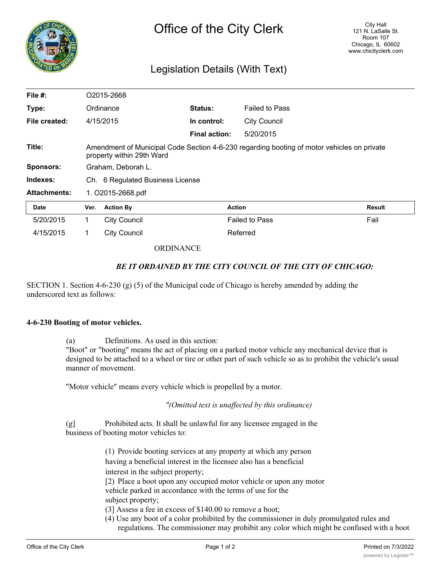

## Legislation Details (With Text)

| File $#$ :          | O2015-2668         |                                                                                                                         |                      |                       |        |  |
|---------------------|--------------------|-------------------------------------------------------------------------------------------------------------------------|----------------------|-----------------------|--------|--|
| Type:               |                    | Ordinance                                                                                                               | <b>Status:</b>       | <b>Failed to Pass</b> |        |  |
| File created:       |                    | 4/15/2015                                                                                                               | In control:          | <b>City Council</b>   |        |  |
|                     |                    |                                                                                                                         | <b>Final action:</b> | 5/20/2015             |        |  |
| Title:              |                    | Amendment of Municipal Code Section 4-6-230 regarding booting of motor vehicles on private<br>property within 29th Ward |                      |                       |        |  |
| <b>Sponsors:</b>    | Graham, Deborah L. |                                                                                                                         |                      |                       |        |  |
| Indexes:            |                    | Ch. 6 Regulated Business License                                                                                        |                      |                       |        |  |
| <b>Attachments:</b> | 1. O2015-2668.pdf  |                                                                                                                         |                      |                       |        |  |
| <b>Date</b>         | Ver.               | <b>Action By</b>                                                                                                        |                      | <b>Action</b>         | Result |  |
| 5/20/2015           |                    | <b>City Council</b>                                                                                                     |                      | <b>Failed to Pass</b> | Fail   |  |
| 4/15/2015           |                    | <b>City Council</b>                                                                                                     |                      | Referred              |        |  |

## **ORDINANCE**

## *BE IT ORDAINED BY THE CITY COUNCIL OF THE CITY OF CHICAGO:*

SECTION 1. Section 4-6-230 (g) (5) of the Municipal code of Chicago is hereby amended by adding the underscored text as follows:

## **4-6-230 Booting of motor vehicles.**

(a) Definitions. As used in this section:

"Boot" or "booting" means the act of placing on a parked motor vehicle any mechanical device that is designed to be attached to a wheel or tire or other part of such vehicle so as to prohibit the vehicle's usual manner of movement.

"Motor vehicle" means every vehicle which is propelled by a motor.

*"(Omitted text is unaffected by this ordinance)*

(g] Prohibited acts. It shall be unlawful for any licensee engaged in the business of booting motor vehicles to:

> (1) Provide booting services at any property at which any person having a beneficial interest in the licensee also has a beneficial interest in the subject property;

[2) Place a boot upon any occupied motor vehicle or upon any motor vehicle parked in accordance with the terms of use for the subject property;

(3] Assess a fee in excess of \$140.00 to remove a boot;

(4) Use any boot of a color prohibited by the commissioner in duly promulgated rules and regulations. The commissioner may prohibit any color which might be confused with a boot